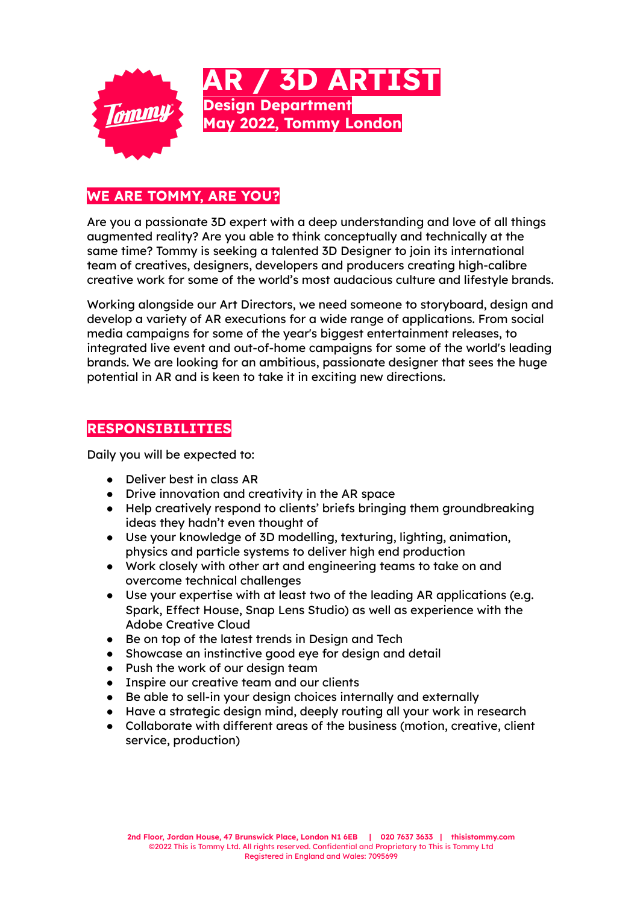

## **WE ARE TOMMY, ARE YOU?**

Are you a passionate 3D expert with a deep understanding and love of all things augmented reality? Are you able to think conceptually and technically at the same time? Tommy is seeking a talented 3D Designer to join its international team of creatives, designers, developers and producers creating high-calibre creative work for some of the world's most audacious culture and lifestyle brands.

Working alongside our Art Directors, we need someone to storyboard, design and develop a variety of AR executions for a wide range of applications. From social media campaigns for some of the year's biggest entertainment releases, to integrated live event and out-of-home campaigns for some of the world's leading brands. We are looking for an ambitious, passionate designer that sees the huge potential in AR and is keen to take it in exciting new directions.

## **RESPONSIBILITIES**

Daily you will be expected to:

- Deliver best in class AR
- Drive innovation and creativity in the AR space
- Help creatively respond to clients' briefs bringing them groundbreaking ideas they hadn't even thought of
- Use your knowledge of 3D modelling, texturing, lighting, animation, physics and particle systems to deliver high end production
- Work closely with other art and engineering teams to take on and overcome technical challenges
- Use your expertise with at least two of the leading AR applications (e.g. Spark, Effect House, Snap Lens Studio) as well as experience with the Adobe Creative Cloud
- Be on top of the latest trends in Design and Tech
- Showcase an instinctive good eye for design and detail
- Push the work of our design team
- Inspire our creative team and our clients
- Be able to sell-in your design choices internally and externally
- Have a strategic design mind, deeply routing all your work in research
- Collaborate with different areas of the business (motion, creative, client service, production)